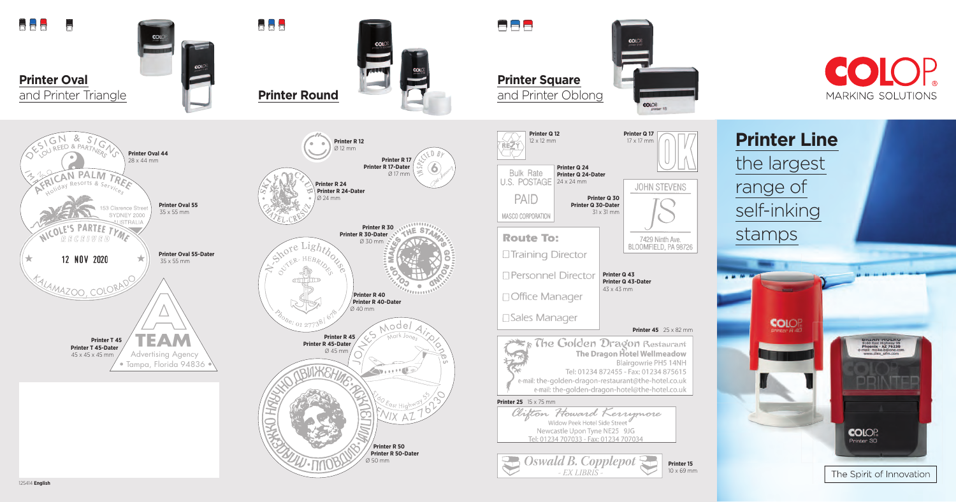